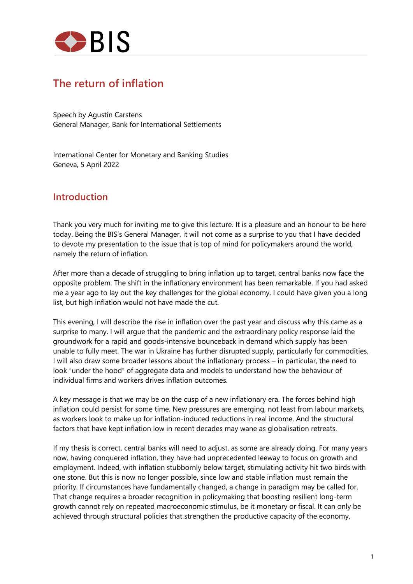

# **The return of inflation**

Speech by Agustín Carstens General Manager, Bank for International Settlements

International Center for Monetary and Banking Studies Geneva, 5 April 2022

### **Introduction**

Thank you very much for inviting me to give this lecture. It is a pleasure and an honour to be here today. Being the BIS's General Manager, it will not come as a surprise to you that I have decided to devote my presentation to the issue that is top of mind for policymakers around the world, namely the return of inflation.

After more than a decade of struggling to bring inflation up to target, central banks now face the opposite problem. The shift in the inflationary environment has been remarkable. If you had asked me a year ago to lay out the key challenges for the global economy, I could have given you a long list, but high inflation would not have made the cut.

This evening, I will describe the rise in inflation over the past year and discuss why this came as a surprise to many. I will argue that the pandemic and the extraordinary policy response laid the groundwork for a rapid and goods-intensive bounceback in demand which supply has been unable to fully meet. The war in Ukraine has further disrupted supply, particularly for commodities. I will also draw some broader lessons about the inflationary process – in particular, the need to look "under the hood" of aggregate data and models to understand how the behaviour of individual firms and workers drives inflation outcomes.

A key message is that we may be on the cusp of a new inflationary era. The forces behind high inflation could persist for some time. New pressures are emerging, not least from labour markets, as workers look to make up for inflation-induced reductions in real income. And the structural factors that have kept inflation low in recent decades may wane as globalisation retreats.

If my thesis is correct, central banks will need to adjust, as some are already doing. For many years now, having conquered inflation, they have had unprecedented leeway to focus on growth and employment. Indeed, with inflation stubbornly below target, stimulating activity hit two birds with one stone. But this is now no longer possible, since low and stable inflation must remain the priority. If circumstances have fundamentally changed, a change in paradigm may be called for. That change requires a broader recognition in policymaking that boosting resilient long-term growth cannot rely on repeated macroeconomic stimulus, be it monetary or fiscal. It can only be achieved through structural policies that strengthen the productive capacity of the economy.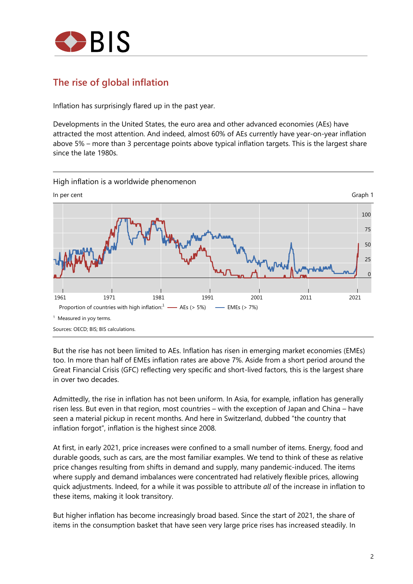

## **The rise of global inflation**

Inflation has surprisingly flared up in the past year.

Developments in the United States, the euro area and other advanced economies (AEs) have attracted the most attention. And indeed, almost 60% of AEs currently have year-on-year inflation above 5% – more than 3 percentage points above typical inflation targets. This is the largest share since the late 1980s.



High inflation is a worldwide phenomenon

But the rise has not been limited to AEs. Inflation has risen in emerging market economies (EMEs) too. In more than half of EMEs inflation rates are above 7%. Aside from a short period around the Great Financial Crisis (GFC) reflecting very specific and short-lived factors, this is the largest share in over two decades.

Admittedly, the rise in inflation has not been uniform. In Asia, for example, inflation has generally risen less. But even in that region, most countries – with the exception of Japan and China – have seen a material pickup in recent months. And here in Switzerland, dubbed "the country that inflation forgot", inflation is the highest since 2008.

At first, in early 2021, price increases were confined to a small number of items. Energy, food and durable goods, such as cars, are the most familiar examples. We tend to think of these as relative price changes resulting from shifts in demand and supply, many pandemic-induced. The items where supply and demand imbalances were concentrated had relatively flexible prices, allowing quick adjustments. Indeed, for a while it was possible to attribute *all* of the increase in inflation to these items, making it look transitory.

But higher inflation has become increasingly broad based. Since the start of 2021, the share of items in the consumption basket that have seen very large price rises has increased steadily. In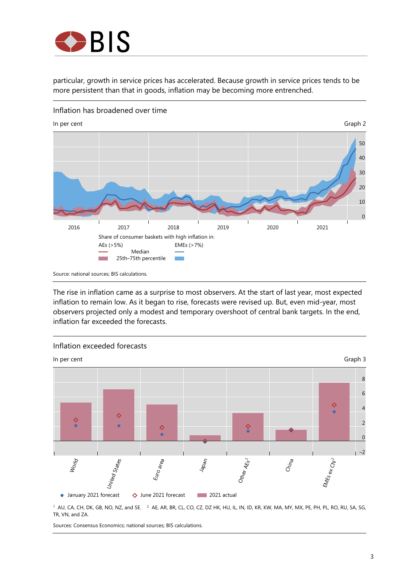

particular, growth in service prices has accelerated. Because growth in service prices tends to be more persistent than that in goods, inflation may be becoming more entrenched.



Inflation has broadened over time

The rise in inflation came as a surprise to most observers. At the start of last year, most expected inflation to remain low. As it began to rise, forecasts were revised up. But, even mid-year, most observers projected only a modest and temporary overshoot of central bank targets. In the end, inflation far exceeded the forecasts.



<sup>1</sup> AU, CA, CH, DK, GB, NO, NZ, and SE. <sup>2</sup> AE, AR, BR, CL, CO, CZ, DZ HK, HU, IL, IN, ID, KR, KW, MA, MY, MX, PE, PH, PL, RO, RU, SA, SG, TR, VN, and ZA.

Sources: Consensus Economics; national sources; BIS calculations.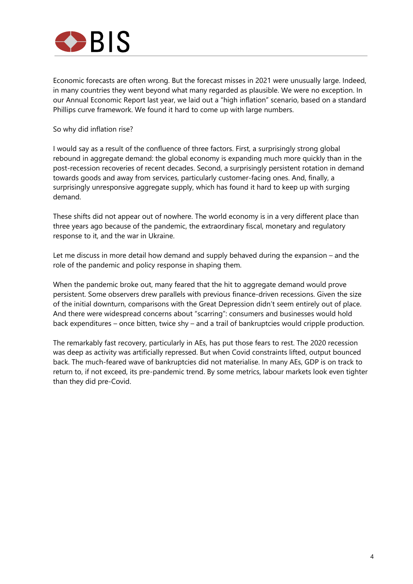

Economic forecasts are often wrong. But the forecast misses in 2021 were unusually large. Indeed, in many countries they went beyond what many regarded as plausible. We were no exception. In our Annual Economic Report last year, we laid out a "high inflation" scenario, based on a standard Phillips curve framework. We found it hard to come up with large numbers.

So why did inflation rise?

I would say as a result of the confluence of three factors. First, a surprisingly strong global rebound in aggregate demand: the global economy is expanding much more quickly than in the post-recession recoveries of recent decades. Second, a surprisingly persistent rotation in demand towards goods and away from services, particularly customer-facing ones. And, finally, a surprisingly unresponsive aggregate supply, which has found it hard to keep up with surging demand.

These shifts did not appear out of nowhere. The world economy is in a very different place than three years ago because of the pandemic, the extraordinary fiscal, monetary and regulatory response to it, and the war in Ukraine.

Let me discuss in more detail how demand and supply behaved during the expansion – and the role of the pandemic and policy response in shaping them.

When the pandemic broke out, many feared that the hit to aggregate demand would prove persistent. Some observers drew parallels with previous finance-driven recessions. Given the size of the initial downturn, comparisons with the Great Depression didn't seem entirely out of place. And there were widespread concerns about "scarring": consumers and businesses would hold back expenditures – once bitten, twice shy – and a trail of bankruptcies would cripple production.

The remarkably fast recovery, particularly in AEs, has put those fears to rest. The 2020 recession was deep as activity was artificially repressed. But when Covid constraints lifted, output bounced back. The much-feared wave of bankruptcies did not materialise. In many AEs, GDP is on track to return to, if not exceed, its pre-pandemic trend. By some metrics, labour markets look even tighter than they did pre-Covid.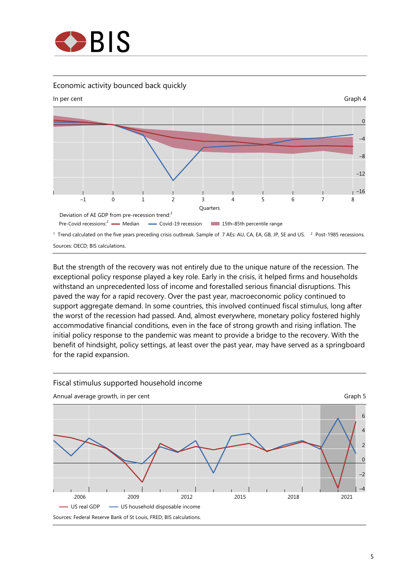

#### Economic activity bounced back quickly



But the strength of the recovery was not entirely due to the unique nature of the recession. The exceptional policy response played a key role. Early in the crisis, it helped firms and households withstand an unprecedented loss of income and forestalled serious financial disruptions. This paved the way for a rapid recovery. Over the past year, macroeconomic policy continued to support aggregate demand. In some countries, this involved continued fiscal stimulus, long after the worst of the recession had passed. And, almost everywhere, monetary policy fostered highly accommodative financial conditions, even in the face of strong growth and rising inflation. The initial policy response to the pandemic was meant to provide a bridge to the recovery. With the benefit of hindsight, policy settings, at least over the past year, may have served as a springboard for the rapid expansion.

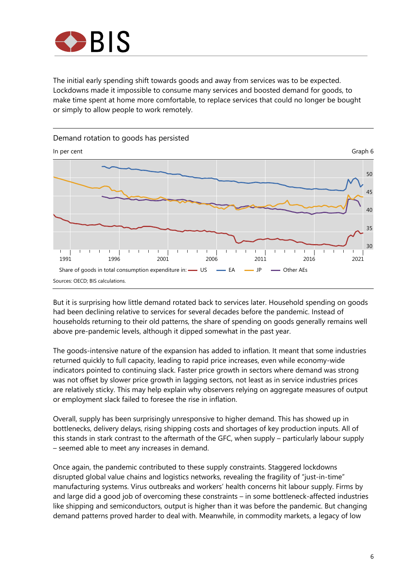

The initial early spending shift towards goods and away from services was to be expected. Lockdowns made it impossible to consume many services and boosted demand for goods, to make time spent at home more comfortable, to replace services that could no longer be bought or simply to allow people to work remotely.



But it is surprising how little demand rotated back to services later. Household spending on goods had been declining relative to services for several decades before the pandemic. Instead of households returning to their old patterns, the share of spending on goods generally remains well above pre-pandemic levels, although it dipped somewhat in the past year.

The goods-intensive nature of the expansion has added to inflation. It meant that some industries returned quickly to full capacity, leading to rapid price increases, even while economy-wide indicators pointed to continuing slack. Faster price growth in sectors where demand was strong was not offset by slower price growth in lagging sectors, not least as in service industries prices are relatively sticky. This may help explain why observers relying on aggregate measures of output or employment slack failed to foresee the rise in inflation.

Overall, supply has been surprisingly unresponsive to higher demand. This has showed up in bottlenecks, delivery delays, rising shipping costs and shortages of key production inputs. All of this stands in stark contrast to the aftermath of the GFC, when supply – particularly labour supply – seemed able to meet any increases in demand.

Once again, the pandemic contributed to these supply constraints. Staggered lockdowns disrupted global value chains and logistics networks, revealing the fragility of "just-in-time" manufacturing systems. Virus outbreaks and workers' health concerns hit labour supply. Firms by and large did a good job of overcoming these constraints – in some bottleneck-affected industries like shipping and semiconductors, output is higher than it was before the pandemic. But changing demand patterns proved harder to deal with. Meanwhile, in commodity markets, a legacy of low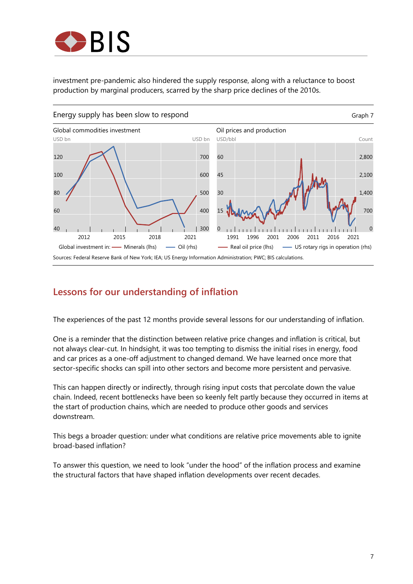

investment pre-pandemic also hindered the supply response, along with a reluctance to boost production by marginal producers, scarred by the sharp price declines of the 2010s.



## **Lessons for our understanding of inflation**

The experiences of the past 12 months provide several lessons for our understanding of inflation.

One is a reminder that the distinction between relative price changes and inflation is critical, but not always clear-cut. In hindsight, it was too tempting to dismiss the initial rises in energy, food and car prices as a one-off adjustment to changed demand. We have learned once more that sector-specific shocks can spill into other sectors and become more persistent and pervasive.

This can happen directly or indirectly, through rising input costs that percolate down the value chain. Indeed, recent bottlenecks have been so keenly felt partly because they occurred in items at the start of production chains, which are needed to produce other goods and services downstream.

This begs a broader question: under what conditions are relative price movements able to ignite broad-based inflation?

To answer this question, we need to look "under the hood" of the inflation process and examine the structural factors that have shaped inflation developments over recent decades.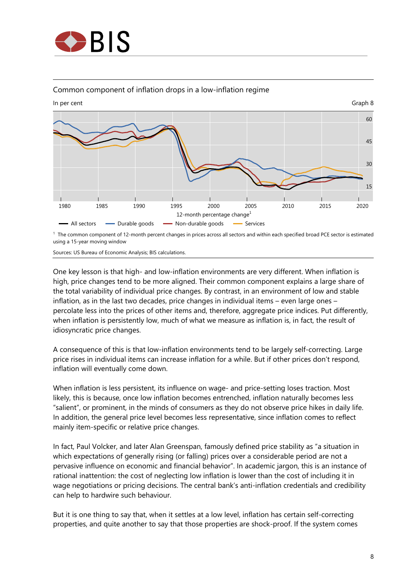

#### Common component of inflation drops in a low-inflation regime



1 The common component of 12-month percent changes in prices across all sectors and within each specified broad PCE sector is estimated using a 15-year moving window

Sources: US Bureau of Economic Analysis; BIS calculations.

One key lesson is that high- and low-inflation environments are very different. When inflation is high, price changes tend to be more aligned. Their common component explains a large share of the total variability of individual price changes. By contrast, in an environment of low and stable inflation, as in the last two decades, price changes in individual items – even large ones – percolate less into the prices of other items and, therefore, aggregate price indices. Put differently, when inflation is persistently low, much of what we measure as inflation is, in fact, the result of idiosyncratic price changes.

A consequence of this is that low-inflation environments tend to be largely self-correcting. Large price rises in individual items can increase inflation for a while. But if other prices don't respond, inflation will eventually come down.

When inflation is less persistent, its influence on wage- and price-setting loses traction. Most likely, this is because, once low inflation becomes entrenched, inflation naturally becomes less "salient", or prominent, in the minds of consumers as they do not observe price hikes in daily life. In addition, the general price level becomes less representative, since inflation comes to reflect mainly item-specific or relative price changes.

In fact, Paul Volcker, and later Alan Greenspan, famously defined price stability as "a situation in which expectations of generally rising (or falling) prices over a considerable period are not a pervasive influence on economic and financial behavior". In academic jargon, this is an instance of rational inattention: the cost of neglecting low inflation is lower than the cost of including it in wage negotiations or pricing decisions. The central bank's anti-inflation credentials and credibility can help to hardwire such behaviour.

But it is one thing to say that, when it settles at a low level, inflation has certain self-correcting properties, and quite another to say that those properties are shock-proof. If the system comes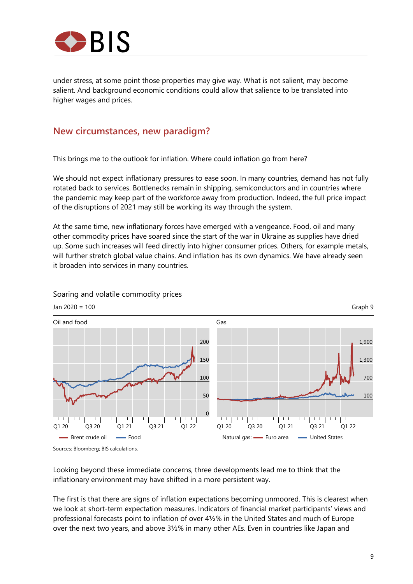

under stress, at some point those properties may give way. What is not salient, may become salient. And background economic conditions could allow that salience to be translated into higher wages and prices.

#### **New circumstances, new paradigm?**

This brings me to the outlook for inflation. Where could inflation go from here?

We should not expect inflationary pressures to ease soon. In many countries, demand has not fully rotated back to services. Bottlenecks remain in shipping, semiconductors and in countries where the pandemic may keep part of the workforce away from production. Indeed, the full price impact of the disruptions of 2021 may still be working its way through the system.

At the same time, new inflationary forces have emerged with a vengeance. Food, oil and many other commodity prices have soared since the start of the war in Ukraine as supplies have dried up. Some such increases will feed directly into higher consumer prices. Others, for example metals, will further stretch global value chains. And inflation has its own dynamics. We have already seen it broaden into services in many countries.



Looking beyond these immediate concerns, three developments lead me to think that the inflationary environment may have shifted in a more persistent way.

The first is that there are signs of inflation expectations becoming unmoored. This is clearest when we look at short-term expectation measures. Indicators of financial market participants' views and professional forecasts point to inflation of over 4½% in the United States and much of Europe over the next two years, and above 3½% in many other AEs. Even in countries like Japan and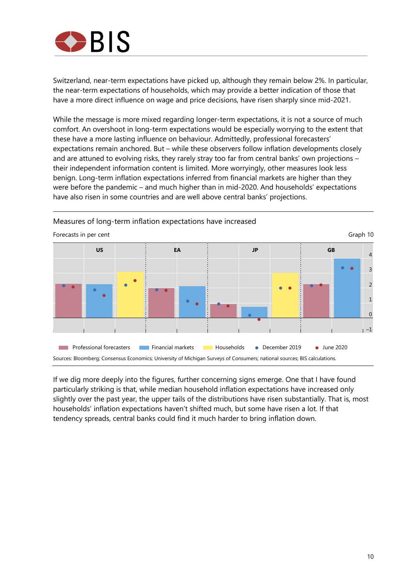

Switzerland, near-term expectations have picked up, although they remain below 2%. In particular, the near-term expectations of households, which may provide a better indication of those that have a more direct influence on wage and price decisions, have risen sharply since mid-2021.

While the message is more mixed regarding longer-term expectations, it is not a source of much comfort. An overshoot in long-term expectations would be especially worrying to the extent that these have a more lasting influence on behaviour. Admittedly, professional forecasters' expectations remain anchored. But – while these observers follow inflation developments closely and are attuned to evolving risks, they rarely stray too far from central banks' own projections – their independent information content is limited. More worryingly, other measures look less benign. Long-term inflation expectations inferred from financial markets are higher than they were before the pandemic – and much higher than in mid-2020. And households' expectations have also risen in some countries and are well above central banks' projections.



Measures of long-term inflation expectations have increased

If we dig more deeply into the figures, further concerning signs emerge. One that I have found particularly striking is that, while median household inflation expectations have increased only slightly over the past year, the upper tails of the distributions have risen substantially. That is, most households' inflation expectations haven't shifted much, but some have risen a lot. If that tendency spreads, central banks could find it much harder to bring inflation down.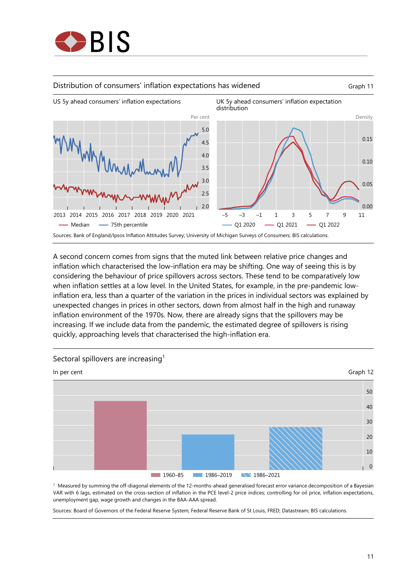





A second concern comes from signs that the muted link between relative price changes and inflation which characterised the low-inflation era may be shifting. One way of seeing this is by considering the behaviour of price spillovers across sectors. These tend to be comparatively low when inflation settles at a low level. In the United States, for example, in the pre-pandemic lowinflation era, less than a quarter of the variation in the prices in individual sectors was explained by unexpected changes in prices in other sectors, down from almost half in the high and runaway inflation environment of the 1970s. Now, there are already signs that the spillovers may be increasing. If we include data from the pandemic, the estimated degree of spillovers is rising quickly, approaching levels that characterised the high-inflation era.



1 Measured by summing the off-diagonal elements of the 12-months-ahead generalised forecast error variance decomposition of a Bayesian VAR with 6 lags, estimated on the cross-section of inflation in the PCE level-2 price indices; controlling for oil price, inflation expectations, unemployment gap, wage growth and changes in the BAA-AAA spread.

Sources: Board of Governors of the Federal Reserve System; Federal Reserve Bank of St Louis, FRED; Datastream; BIS calculations.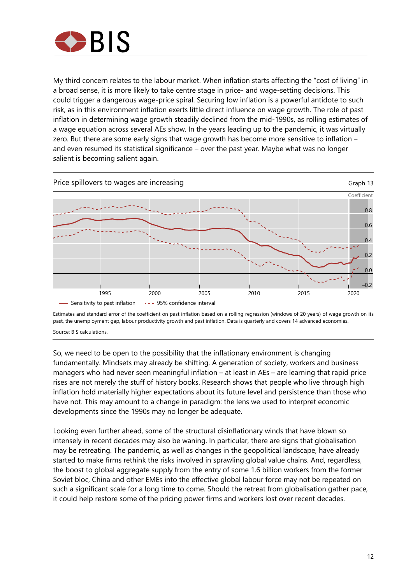

My third concern relates to the labour market. When inflation starts affecting the "cost of living" in a broad sense, it is more likely to take centre stage in price- and wage-setting decisions. This could trigger a dangerous wage-price spiral. Securing low inflation is a powerful antidote to such risk, as in this environment inflation exerts little direct influence on wage growth. The role of past inflation in determining wage growth steadily declined from the mid-1990s, as rolling estimates of a wage equation across several AEs show. In the years leading up to the pandemic, it was virtually zero. But there are some early signs that wage growth has become more sensitive to inflation – and even resumed its statistical significance – over the past year. Maybe what was no longer salient is becoming salient again.



Estimates and standard error of the coefficient on past inflation based on a rolling regression (windows of 20 years) of wage growth on its past, the unemployment gap, labour productivity growth and past inflation. Data is quarterly and covers 14 advanced economies.

Source: BIS calculations.

So, we need to be open to the possibility that the inflationary environment is changing fundamentally. Mindsets may already be shifting. A generation of society, workers and business managers who had never seen meaningful inflation – at least in AEs – are learning that rapid price rises are not merely the stuff of history books. Research shows that people who live through high inflation hold materially higher expectations about its future level and persistence than those who have not. This may amount to a change in paradigm: the lens we used to interpret economic developments since the 1990s may no longer be adequate.

Looking even further ahead, some of the structural disinflationary winds that have blown so intensely in recent decades may also be waning. In particular, there are signs that globalisation may be retreating. The pandemic, as well as changes in the geopolitical landscape, have already started to make firms rethink the risks involved in sprawling global value chains. And, regardless, the boost to global aggregate supply from the entry of some 1.6 billion workers from the former Soviet bloc, China and other EMEs into the effective global labour force may not be repeated on such a significant scale for a long time to come. Should the retreat from globalisation gather pace, it could help restore some of the pricing power firms and workers lost over recent decades.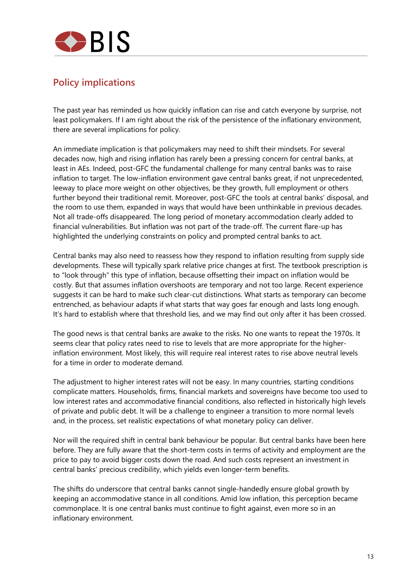

## **Policy implications**

The past year has reminded us how quickly inflation can rise and catch everyone by surprise, not least policymakers. If I am right about the risk of the persistence of the inflationary environment, there are several implications for policy.

An immediate implication is that policymakers may need to shift their mindsets. For several decades now, high and rising inflation has rarely been a pressing concern for central banks, at least in AEs. Indeed, post-GFC the fundamental challenge for many central banks was to raise inflation to target. The low-inflation environment gave central banks great, if not unprecedented, leeway to place more weight on other objectives, be they growth, full employment or others further beyond their traditional remit. Moreover, post-GFC the tools at central banks' disposal, and the room to use them, expanded in ways that would have been unthinkable in previous decades. Not all trade-offs disappeared. The long period of monetary accommodation clearly added to financial vulnerabilities. But inflation was not part of the trade-off. The current flare-up has highlighted the underlying constraints on policy and prompted central banks to act.

Central banks may also need to reassess how they respond to inflation resulting from supply side developments. These will typically spark relative price changes at first. The textbook prescription is to "look through" this type of inflation, because offsetting their impact on inflation would be costly. But that assumes inflation overshoots are temporary and not too large. Recent experience suggests it can be hard to make such clear-cut distinctions. What starts as temporary can become entrenched, as behaviour adapts if what starts that way goes far enough and lasts long enough. It's hard to establish where that threshold lies, and we may find out only after it has been crossed.

The good news is that central banks are awake to the risks. No one wants to repeat the 1970s. It seems clear that policy rates need to rise to levels that are more appropriate for the higherinflation environment. Most likely, this will require real interest rates to rise above neutral levels for a time in order to moderate demand.

The adjustment to higher interest rates will not be easy. In many countries, starting conditions complicate matters. Households, firms, financial markets and sovereigns have become too used to low interest rates and accommodative financial conditions, also reflected in historically high levels of private and public debt. It will be a challenge to engineer a transition to more normal levels and, in the process, set realistic expectations of what monetary policy can deliver.

Nor will the required shift in central bank behaviour be popular. But central banks have been here before. They are fully aware that the short-term costs in terms of activity and employment are the price to pay to avoid bigger costs down the road. And such costs represent an investment in central banks' precious credibility, which yields even longer-term benefits.

The shifts do underscore that central banks cannot single-handedly ensure global growth by keeping an accommodative stance in all conditions. Amid low inflation, this perception became commonplace. It is one central banks must continue to fight against, even more so in an inflationary environment.